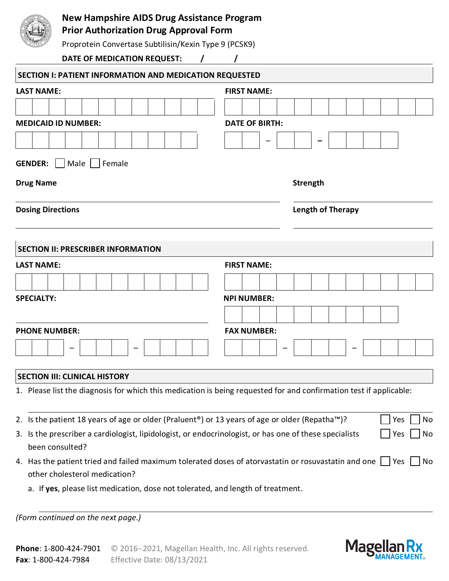

## **New Hampshire AIDS Drug Assistance Program**

**Prior Authorization Drug Approval Form**

Proprotein Convertase Subtilisin/Kexin Type 9 (PCSK9)

**DATE OF MEDICATION REQUEST: / /**

| <b>SECTION I: PATIENT INFORMATION AND MEDICATION REQUESTED</b>                                                                                             |                       |                          |  |  |     |    |  |  |  |  |  |  |  |  |
|------------------------------------------------------------------------------------------------------------------------------------------------------------|-----------------------|--------------------------|--|--|-----|----|--|--|--|--|--|--|--|--|
| <b>LAST NAME:</b>                                                                                                                                          | <b>FIRST NAME:</b>    |                          |  |  |     |    |  |  |  |  |  |  |  |  |
|                                                                                                                                                            |                       |                          |  |  |     |    |  |  |  |  |  |  |  |  |
| <b>MEDICAID ID NUMBER:</b>                                                                                                                                 | <b>DATE OF BIRTH:</b> |                          |  |  |     |    |  |  |  |  |  |  |  |  |
|                                                                                                                                                            |                       |                          |  |  |     |    |  |  |  |  |  |  |  |  |
| <b>GENDER:</b><br>Male   Female<br>$\perp$                                                                                                                 |                       |                          |  |  |     |    |  |  |  |  |  |  |  |  |
| <b>Drug Name</b>                                                                                                                                           | <b>Strength</b>       |                          |  |  |     |    |  |  |  |  |  |  |  |  |
| <b>Dosing Directions</b>                                                                                                                                   |                       | <b>Length of Therapy</b> |  |  |     |    |  |  |  |  |  |  |  |  |
| <b>SECTION II: PRESCRIBER INFORMATION</b>                                                                                                                  |                       |                          |  |  |     |    |  |  |  |  |  |  |  |  |
| <b>LAST NAME:</b>                                                                                                                                          | <b>FIRST NAME:</b>    |                          |  |  |     |    |  |  |  |  |  |  |  |  |
|                                                                                                                                                            |                       |                          |  |  |     |    |  |  |  |  |  |  |  |  |
| <b>SPECIALTY:</b>                                                                                                                                          | <b>NPI NUMBER:</b>    |                          |  |  |     |    |  |  |  |  |  |  |  |  |
|                                                                                                                                                            |                       |                          |  |  |     |    |  |  |  |  |  |  |  |  |
| <b>PHONE NUMBER:</b>                                                                                                                                       | <b>FAX NUMBER:</b>    |                          |  |  |     |    |  |  |  |  |  |  |  |  |
|                                                                                                                                                            |                       |                          |  |  |     |    |  |  |  |  |  |  |  |  |
|                                                                                                                                                            |                       |                          |  |  |     |    |  |  |  |  |  |  |  |  |
| <b>SECTION III: CLINICAL HISTORY</b><br>1. Please list the diagnosis for which this medication is being requested for and confirmation test if applicable: |                       |                          |  |  |     |    |  |  |  |  |  |  |  |  |
|                                                                                                                                                            |                       |                          |  |  |     |    |  |  |  |  |  |  |  |  |
| 2. Is the patient 18 years of age or older (Praluent®) or 13 years of age or older (Repatha™)?                                                             |                       |                          |  |  | Yes | No |  |  |  |  |  |  |  |  |
| 3. Is the prescriber a cardiologist, lipidologist, or endocrinologist, or has one of these specialists<br>been consulted?                                  |                       |                          |  |  | Yes | No |  |  |  |  |  |  |  |  |
| 4. Has the patient tried and failed maximum tolerated doses of atorvastatin or rosuvastatin and one $\bigsqcup$ Yes<br>other cholesterol medication?       |                       |                          |  |  |     | No |  |  |  |  |  |  |  |  |
| a. If yes, please list medication, dose not tolerated, and length of treatment.                                                                            |                       |                          |  |  |     |    |  |  |  |  |  |  |  |  |

*(Form continued on the next page.)*